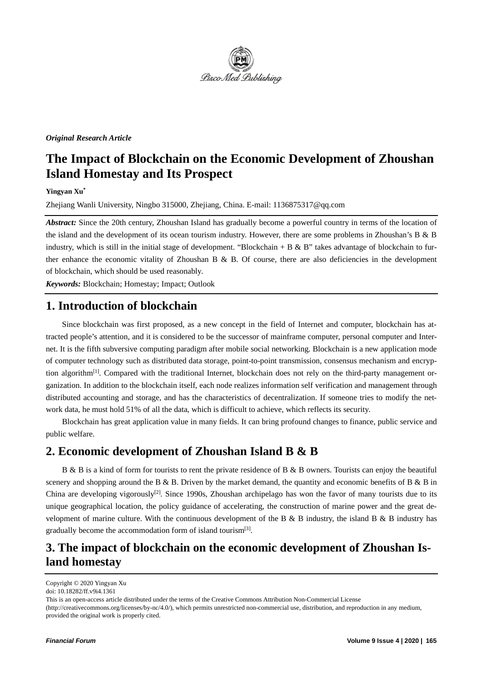

### *Original Research Article*

# **The Impact of Blockchain on the Economic Development of Zhoushan Island Homestay and Its Prospect**

**Yingyan Xu\***

Zhejiang Wanli University, Ningbo 315000, Zhejiang, China. E-mail: 1136875317@qq.com

*Abstract:* Since the 20th century, Zhoushan Island has gradually become a powerful country in terms of the location of the island and the development of its ocean tourism industry. However, there are some problems in Zhoushan's B & B industry, which is still in the initial stage of development. "Blockchain + B & B" takes advantage of blockchain to further enhance the economic vitality of Zhoushan B & B. Of course, there are also deficiencies in the development of blockchain, which should be used reasonably.

*Keywords:* Blockchain; Homestay; Impact; Outlook

### **1. Introduction of blockchain**

Since blockchain was first proposed, as a new concept in the field of Internet and computer, blockchain has attracted people's attention, and it is considered to be the successor of mainframe computer, personal computer and Internet. It is the fifth subversive computing paradigm after mobile social networking. Blockchain is a new application mode of computer technology such as distributed data storage, point-to-point transmission, consensus mechanism and encryption algorithm<sup>[1]</sup>. Compared with the traditional Internet, blockchain does not rely on the third-party management organization. In addition to the blockchain itself, each node realizes information self verification and management through distributed accounting and storage, and has the characteristics of decentralization. If someone tries to modify the network data, he must hold 51% of all the data, which is difficult to achieve, which reflects its security.

Blockchain has great application value in many fields. It can bring profound changes to finance, public service and public welfare.

### **2. Economic development of Zhoushan Island B & B**

B & B is a kind of form for tourists to rent the private residence of B & B owners. Tourists can enjoy the beautiful scenery and shopping around the B & B. Driven by the market demand, the quantity and economic benefits of B  $\&$  B in China are developing vigorously<sup>[2]</sup>. Since 1990s, Zhoushan archipelago has won the favor of many tourists due to its unique geographical location, the policy guidance of accelerating, the construction of marine power and the great development of marine culture. With the continuous development of the B & B industry, the island B & B industry has gradually become the accommodation form of island tourism[3].

## **3. The impact of blockchain on the economic development of Zhoushan Island homestay**

Copyright © 2020 Yingyan Xu

doi: 10.18282/ff.v9i4.1361

This is an open-access article distributed under the terms of the Creative Commons Attribution Non-Commercial License (http://creativecommons.org/licenses/by-nc/4.0/), which permits unrestricted non-commercial use, distribution, and reproduction in any medium, provided the original work is properly cited.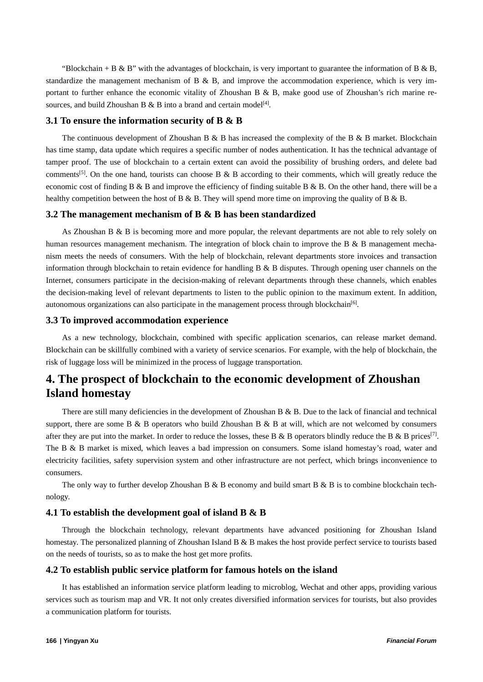"Blockchain + B & B" with the advantages of blockchain, is very important to guarantee the information of B & B, standardize the management mechanism of B & B, and improve the accommodation experience, which is very important to further enhance the economic vitality of Zhoushan B & B, make good use of Zhoushan's rich marine resources, and build Zhoushan B & B into a brand and certain model<sup>[4]</sup>.

### **3.1 To ensure the information security of B & B**

The continuous development of Zhoushan B & B has increased the complexity of the B & B market. Blockchain has time stamp, data update which requires a specific number of nodes authentication. It has the technical advantage of tamper proof. The use of blockchain to a certain extent can avoid the possibility of brushing orders, and delete bad comments<sup>[5]</sup>. On the one hand, tourists can choose B & B according to their comments, which will greatly reduce the economic cost of finding B & B and improve the efficiency of finding suitable B & B. On the other hand, there will be a healthy competition between the host of B & B. They will spend more time on improving the quality of B & B.

### **3.2 The management mechanism of B & B has been standardized**

As Zhoushan B & B is becoming more and more popular, the relevant departments are not able to rely solely on human resources management mechanism. The integration of block chain to improve the B & B management mechanism meets the needs of consumers. With the help of blockchain, relevant departments store invoices and transaction information through blockchain to retain evidence for handling B & B disputes. Through opening user channels on the Internet, consumers participate in the decision-making of relevant departments through these channels, which enables the decision-making level of relevant departments to listen to the public opinion to the maximum extent. In addition, autonomous organizations can also participate in the management process through blockchain<sup>[6]</sup>.

### **3.3 To improved accommodation experience**

As a new technology, blockchain, combined with specific application scenarios, can release market demand. Blockchain can be skillfully combined with a variety of service scenarios. For example, with the help of blockchain, the risk of luggage loss will be minimized in the process of luggage transportation.

## **4. The prospect of blockchain to the economic development of Zhoushan Island homestay**

There are still many deficiencies in the development of Zhoushan B & B. Due to the lack of financial and technical support, there are some B & B operators who build Zhoushan B & B at will, which are not welcomed by consumers after they are put into the market. In order to reduce the losses, these B & B operators blindly reduce the B & B prices<sup>[7]</sup>. The B & B market is mixed, which leaves a bad impression on consumers. Some island homestay's road, water and electricity facilities, safety supervision system and other infrastructure are not perfect, which brings inconvenience to consumers.

The only way to further develop Zhoushan B & B economy and build smart B & B is to combine blockchain technology.

#### **4.1 To establish the development goal of island B & B**

Through the blockchain technology, relevant departments have advanced positioning for Zhoushan Island homestay. The personalized planning of Zhoushan Island B & B makes the host provide perfect service to tourists based on the needs of tourists, so as to make the host get more profits.

#### **4.2 To establish public service platform for famous hotels on the island**

It has established an information service platform leading to microblog, Wechat and other apps, providing various services such as tourism map and VR. It not only creates diversified information services for tourists, but also provides a communication platform for tourists.